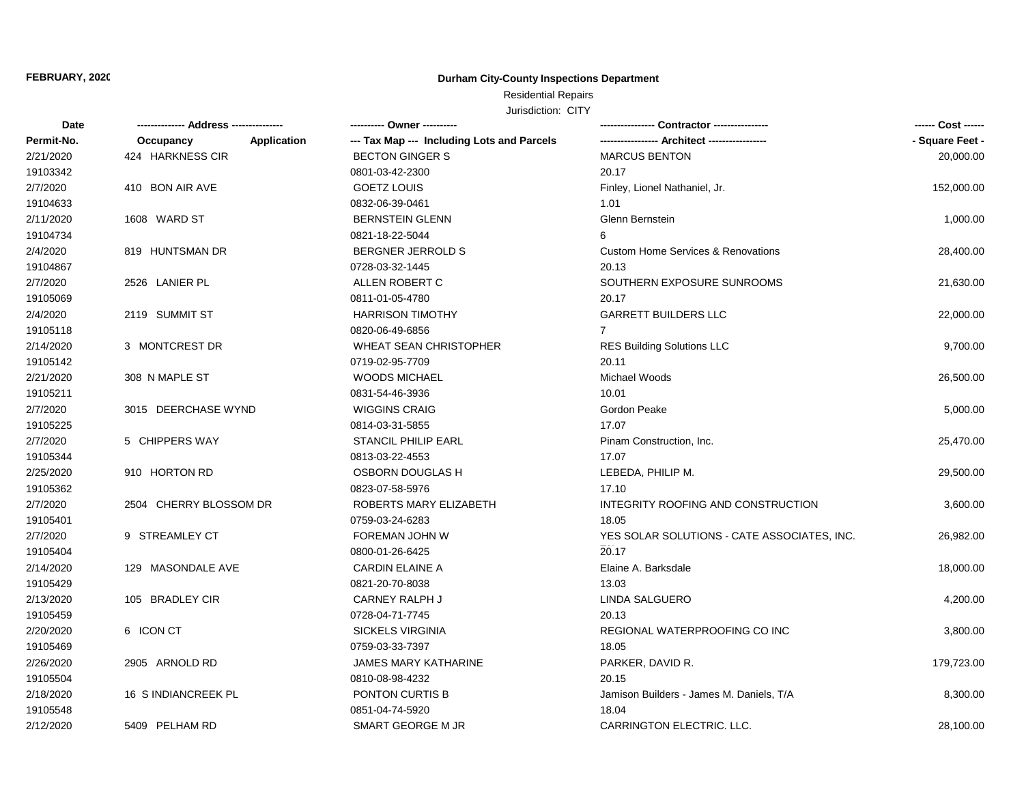#### **FEBRUARY, 2020**

#### **Durham City-County Inspections Department**

# Residential Repairs

| Date       | -------------- Address --------------- | ---------- Owner ----------                |                                               | ------ Cost ------ |
|------------|----------------------------------------|--------------------------------------------|-----------------------------------------------|--------------------|
| Permit-No. | Occupancy<br>Application               | --- Tax Map --- Including Lots and Parcels |                                               | - Square Feet -    |
| 2/21/2020  | 424 HARKNESS CIR                       | <b>BECTON GINGER S</b>                     | <b>MARCUS BENTON</b>                          | 20,000.00          |
| 19103342   |                                        | 0801-03-42-2300                            | 20.17                                         |                    |
| 2/7/2020   | 410 BON AIR AVE                        | <b>GOETZ LOUIS</b>                         | Finley, Lionel Nathaniel, Jr.                 | 152,000.00         |
| 19104633   |                                        | 0832-06-39-0461                            | 1.01                                          |                    |
| 2/11/2020  | 1608 WARD ST                           | <b>BERNSTEIN GLENN</b>                     | Glenn Bernstein                               | 1,000.00           |
| 19104734   |                                        | 0821-18-22-5044                            | 6                                             |                    |
| 2/4/2020   | 819 HUNTSMAN DR                        | <b>BERGNER JERROLD S</b>                   | <b>Custom Home Services &amp; Renovations</b> | 28,400.00          |
| 19104867   |                                        | 0728-03-32-1445                            | 20.13                                         |                    |
| 2/7/2020   | 2526 LANIER PL                         | ALLEN ROBERT C                             | SOUTHERN EXPOSURE SUNROOMS                    | 21,630.00          |
| 19105069   |                                        | 0811-01-05-4780                            | 20.17                                         |                    |
| 2/4/2020   | 2119 SUMMIT ST                         | <b>HARRISON TIMOTHY</b>                    | <b>GARRETT BUILDERS LLC</b>                   | 22,000.00          |
| 19105118   |                                        | 0820-06-49-6856                            | $\overline{7}$                                |                    |
| 2/14/2020  | 3 MONTCREST DR                         | <b>WHEAT SEAN CHRISTOPHER</b>              | <b>RES Building Solutions LLC</b>             | 9,700.00           |
| 19105142   |                                        | 0719-02-95-7709                            | 20.11                                         |                    |
| 2/21/2020  | 308 N MAPLE ST                         | WOODS MICHAEL                              | Michael Woods                                 | 26,500.00          |
| 19105211   |                                        | 0831-54-46-3936                            | 10.01                                         |                    |
| 2/7/2020   | 3015 DEERCHASE WYND                    | <b>WIGGINS CRAIG</b>                       | Gordon Peake                                  | 5,000.00           |
| 19105225   |                                        | 0814-03-31-5855                            | 17.07                                         |                    |
| 2/7/2020   | 5 CHIPPERS WAY                         | <b>STANCIL PHILIP EARL</b>                 | Pinam Construction, Inc.                      | 25,470.00          |
| 19105344   |                                        | 0813-03-22-4553                            | 17.07                                         |                    |
| 2/25/2020  | 910 HORTON RD                          | OSBORN DOUGLAS H                           | LEBEDA, PHILIP M.                             | 29,500.00          |
| 19105362   |                                        | 0823-07-58-5976                            | 17.10                                         |                    |
| 2/7/2020   | 2504 CHERRY BLOSSOM DR                 | ROBERTS MARY ELIZABETH                     | INTEGRITY ROOFING AND CONSTRUCTION            | 3,600.00           |
| 19105401   |                                        | 0759-03-24-6283                            | 18.05                                         |                    |
| 2/7/2020   | 9 STREAMLEY CT                         | FOREMAN JOHN W                             | YES SOLAR SOLUTIONS - CATE ASSOCIATES, INC.   | 26,982.00          |
| 19105404   |                                        | 0800-01-26-6425                            | 20.17                                         |                    |
| 2/14/2020  | 129 MASONDALE AVE                      | CARDIN ELAINE A                            | Elaine A. Barksdale                           | 18,000.00          |
| 19105429   |                                        | 0821-20-70-8038                            | 13.03                                         |                    |
| 2/13/2020  | 105 BRADLEY CIR                        | <b>CARNEY RALPH J</b>                      | LINDA SALGUERO                                | 4,200.00           |
| 19105459   |                                        | 0728-04-71-7745                            | 20.13                                         |                    |
| 2/20/2020  | 6 ICON CT                              | SICKELS VIRGINIA                           | REGIONAL WATERPROOFING CO INC                 | 3,800.00           |
| 19105469   |                                        | 0759-03-33-7397                            | 18.05                                         |                    |
| 2/26/2020  | 2905 ARNOLD RD                         | JAMES MARY KATHARINE                       | PARKER, DAVID R.                              | 179,723.00         |
| 19105504   |                                        | 0810-08-98-4232                            | 20.15                                         |                    |
| 2/18/2020  | 16 S INDIANCREEK PL                    | PONTON CURTIS B                            | Jamison Builders - James M. Daniels, T/A      | 8,300.00           |
| 19105548   |                                        | 0851-04-74-5920                            | 18.04                                         |                    |
| 2/12/2020  | 5409 PELHAM RD                         | SMART GEORGE M JR                          | CARRINGTON ELECTRIC. LLC.                     | 28,100.00          |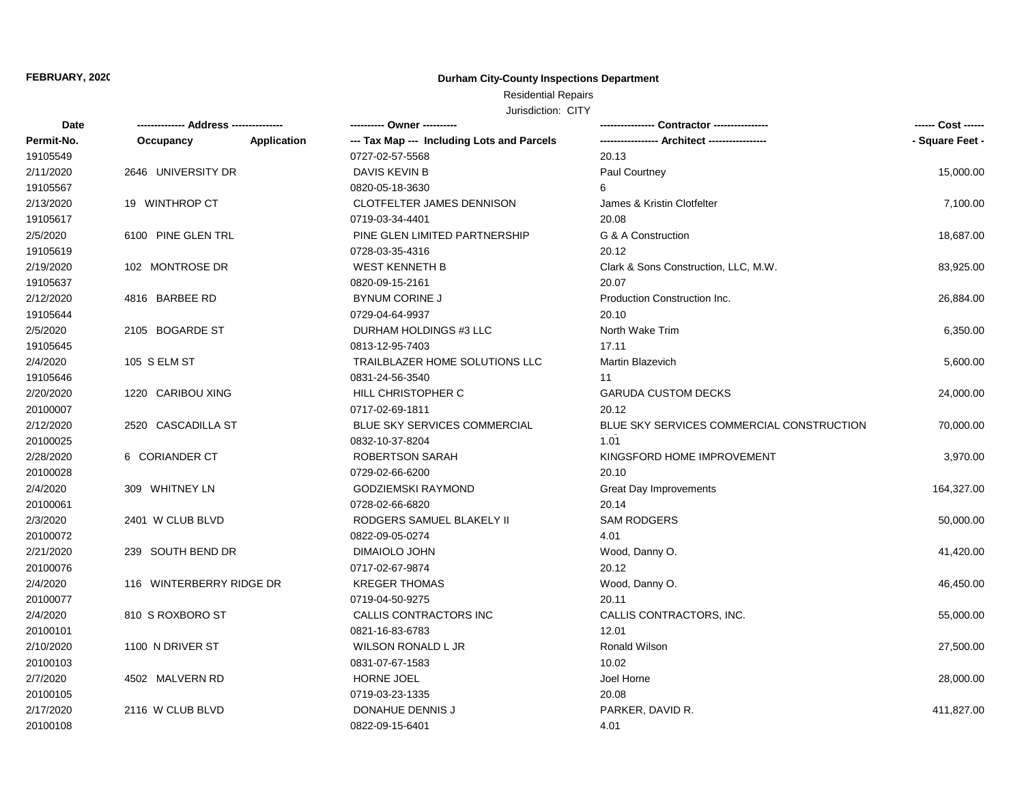# Residential Repairs

| Date       |                          |             | ---------- Owner ----------                |                                           | ------ Cost ------ |
|------------|--------------------------|-------------|--------------------------------------------|-------------------------------------------|--------------------|
| Permit-No. | Occupancy                | Application | --- Tax Map --- Including Lots and Parcels |                                           | - Square Feet -    |
| 19105549   |                          |             | 0727-02-57-5568                            | 20.13                                     |                    |
| 2/11/2020  | 2646 UNIVERSITY DR       |             | <b>DAVIS KEVIN B</b>                       | Paul Courtney                             | 15,000.00          |
| 19105567   |                          |             | 0820-05-18-3630                            | 6                                         |                    |
| 2/13/2020  | 19 WINTHROP CT           |             | <b>CLOTFELTER JAMES DENNISON</b>           | James & Kristin Clotfelter                | 7,100.00           |
| 19105617   |                          |             | 0719-03-34-4401                            | 20.08                                     |                    |
| 2/5/2020   | 6100 PINE GLEN TRL       |             | PINE GLEN LIMITED PARTNERSHIP              | G & A Construction                        | 18,687.00          |
| 19105619   |                          |             | 0728-03-35-4316                            | 20.12                                     |                    |
| 2/19/2020  | 102 MONTROSE DR          |             | <b>WEST KENNETH B</b>                      | Clark & Sons Construction, LLC, M.W.      | 83,925.00          |
| 19105637   |                          |             | 0820-09-15-2161                            | 20.07                                     |                    |
| 2/12/2020  | 4816 BARBEE RD           |             | <b>BYNUM CORINE J</b>                      | Production Construction Inc.              | 26,884.00          |
| 19105644   |                          |             | 0729-04-64-9937                            | 20.10                                     |                    |
| 2/5/2020   | 2105 BOGARDE ST          |             | DURHAM HOLDINGS #3 LLC                     | North Wake Trim                           | 6,350.00           |
| 19105645   |                          |             | 0813-12-95-7403                            | 17.11                                     |                    |
| 2/4/2020   | 105 S ELM ST             |             | TRAILBLAZER HOME SOLUTIONS LLC             | Martin Blazevich                          | 5,600.00           |
| 19105646   |                          |             | 0831-24-56-3540                            | 11                                        |                    |
| 2/20/2020  | 1220 CARIBOU XING        |             | HILL CHRISTOPHER C                         | <b>GARUDA CUSTOM DECKS</b>                | 24,000.00          |
| 20100007   |                          |             | 0717-02-69-1811                            | 20.12                                     |                    |
| 2/12/2020  | 2520 CASCADILLA ST       |             | <b>BLUE SKY SERVICES COMMERCIAL</b>        | BLUE SKY SERVICES COMMERCIAL CONSTRUCTION | 70,000.00          |
| 20100025   |                          |             | 0832-10-37-8204                            | 1.01                                      |                    |
| 2/28/2020  | 6 CORIANDER CT           |             | ROBERTSON SARAH                            | KINGSFORD HOME IMPROVEMENT                | 3,970.00           |
| 20100028   |                          |             | 0729-02-66-6200                            | 20.10                                     |                    |
| 2/4/2020   | 309 WHITNEY LN           |             | <b>GODZIEMSKI RAYMOND</b>                  | <b>Great Day Improvements</b>             | 164,327.00         |
| 20100061   |                          |             | 0728-02-66-6820                            | 20.14                                     |                    |
| 2/3/2020   | 2401 W CLUB BLVD         |             | RODGERS SAMUEL BLAKELY II                  | <b>SAM RODGERS</b>                        | 50,000.00          |
| 20100072   |                          |             | 0822-09-05-0274                            | 4.01                                      |                    |
| 2/21/2020  | 239 SOUTH BEND DR        |             | DIMAIOLO JOHN                              | Wood, Danny O.                            | 41,420.00          |
| 20100076   |                          |             | 0717-02-67-9874                            | 20.12                                     |                    |
| 2/4/2020   | 116 WINTERBERRY RIDGE DR |             | <b>KREGER THOMAS</b>                       | Wood, Danny O.                            | 46,450.00          |
| 20100077   |                          |             | 0719-04-50-9275                            | 20.11                                     |                    |
| 2/4/2020   | 810 S ROXBORO ST         |             | CALLIS CONTRACTORS INC                     | CALLIS CONTRACTORS, INC.                  | 55,000.00          |
| 20100101   |                          |             | 0821-16-83-6783                            | 12.01                                     |                    |
| 2/10/2020  | 1100 N DRIVER ST         |             | <b>WILSON RONALD L JR</b>                  | Ronald Wilson                             | 27,500.00          |
| 20100103   |                          |             | 0831-07-67-1583                            | 10.02                                     |                    |
| 2/7/2020   | 4502 MALVERN RD          |             | HORNE JOEL                                 | Joel Horne                                | 28,000.00          |
| 20100105   |                          |             | 0719-03-23-1335                            | 20.08                                     |                    |
| 2/17/2020  | 2116 W CLUB BLVD         |             | DONAHUE DENNIS J                           | PARKER, DAVID R.                          | 411,827.00         |
| 20100108   |                          |             | 0822-09-15-6401                            | 4.01                                      |                    |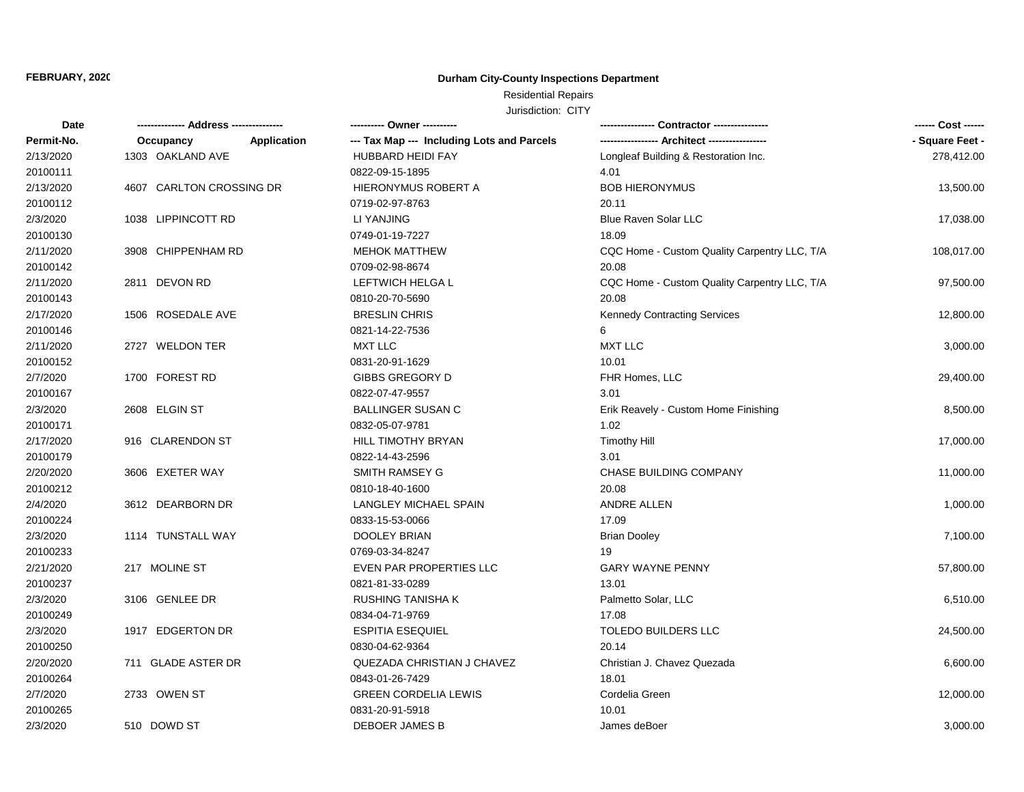# Residential Repairs

| Date       |                          | ---------- Owner ----------                               |                                              | ------ Cost ------ |
|------------|--------------------------|-----------------------------------------------------------|----------------------------------------------|--------------------|
| Permit-No. | Occupancy                | --- Tax Map --- Including Lots and Parcels<br>Application |                                              | - Square Feet -    |
| 2/13/2020  | 1303 OAKLAND AVE         | <b>HUBBARD HEIDI FAY</b>                                  | Longleaf Building & Restoration Inc.         | 278,412.00         |
| 20100111   |                          | 0822-09-15-1895                                           | 4.01                                         |                    |
| 2/13/2020  | 4607 CARLTON CROSSING DR | HIERONYMUS ROBERT A                                       | <b>BOB HIERONYMUS</b>                        | 13,500.00          |
| 20100112   |                          | 0719-02-97-8763                                           | 20.11                                        |                    |
| 2/3/2020   | 1038 LIPPINCOTT RD       | LI YANJING                                                | <b>Blue Raven Solar LLC</b>                  | 17,038.00          |
| 20100130   |                          | 0749-01-19-7227                                           | 18.09                                        |                    |
| 2/11/2020  | 3908 CHIPPENHAM RD       | <b>MEHOK MATTHEW</b>                                      | CQC Home - Custom Quality Carpentry LLC, T/A | 108,017.00         |
| 20100142   |                          | 0709-02-98-8674                                           | 20.08                                        |                    |
| 2/11/2020  | 2811 DEVON RD            | LEFTWICH HELGA L                                          | CQC Home - Custom Quality Carpentry LLC, T/A | 97,500.00          |
| 20100143   |                          | 0810-20-70-5690                                           | 20.08                                        |                    |
| 2/17/2020  | 1506 ROSEDALE AVE        | <b>BRESLIN CHRIS</b>                                      | <b>Kennedy Contracting Services</b>          | 12,800.00          |
| 20100146   |                          | 0821-14-22-7536                                           | 6                                            |                    |
| 2/11/2020  | 2727 WELDON TER          | <b>MXT LLC</b>                                            | <b>MXT LLC</b>                               | 3,000.00           |
| 20100152   |                          | 0831-20-91-1629                                           | 10.01                                        |                    |
| 2/7/2020   | 1700 FOREST RD           | GIBBS GREGORY D                                           | FHR Homes, LLC                               | 29,400.00          |
| 20100167   |                          | 0822-07-47-9557                                           | 3.01                                         |                    |
| 2/3/2020   | 2608 ELGIN ST            | <b>BALLINGER SUSAN C</b>                                  | Erik Reavely - Custom Home Finishing         | 8,500.00           |
| 20100171   |                          | 0832-05-07-9781                                           | 1.02                                         |                    |
| 2/17/2020  | 916 CLARENDON ST         | HILL TIMOTHY BRYAN                                        | <b>Timothy Hill</b>                          | 17,000.00          |
| 20100179   |                          | 0822-14-43-2596                                           | 3.01                                         |                    |
| 2/20/2020  | 3606 EXETER WAY          | <b>SMITH RAMSEY G</b>                                     | CHASE BUILDING COMPANY                       | 11,000.00          |
| 20100212   |                          | 0810-18-40-1600                                           | 20.08                                        |                    |
| 2/4/2020   | 3612 DEARBORN DR         | LANGLEY MICHAEL SPAIN                                     | ANDRE ALLEN                                  | 1,000.00           |
| 20100224   |                          | 0833-15-53-0066                                           | 17.09                                        |                    |
| 2/3/2020   | 1114 TUNSTALL WAY        | <b>DOOLEY BRIAN</b>                                       | <b>Brian Dooley</b>                          | 7,100.00           |
| 20100233   |                          | 0769-03-34-8247                                           | 19                                           |                    |
| 2/21/2020  | 217 MOLINE ST            | EVEN PAR PROPERTIES LLC                                   | <b>GARY WAYNE PENNY</b>                      | 57,800.00          |
| 20100237   |                          | 0821-81-33-0289                                           | 13.01                                        |                    |
| 2/3/2020   | 3106 GENLEE DR           | <b>RUSHING TANISHA K</b>                                  | Palmetto Solar, LLC                          | 6,510.00           |
| 20100249   |                          | 0834-04-71-9769                                           | 17.08                                        |                    |
| 2/3/2020   | 1917 EDGERTON DR         | <b>ESPITIA ESEQUIEL</b>                                   | <b>TOLEDO BUILDERS LLC</b>                   | 24,500.00          |
| 20100250   |                          | 0830-04-62-9364                                           | 20.14                                        |                    |
| 2/20/2020  | 711 GLADE ASTER DR       | QUEZADA CHRISTIAN J CHAVEZ                                | Christian J. Chavez Quezada                  | 6,600.00           |
| 20100264   |                          | 0843-01-26-7429                                           | 18.01                                        |                    |
| 2/7/2020   | 2733 OWEN ST             | <b>GREEN CORDELIA LEWIS</b>                               | Cordelia Green                               | 12,000.00          |
| 20100265   |                          | 0831-20-91-5918                                           | 10.01                                        |                    |
| 2/3/2020   | 510 DOWD ST              | <b>DEBOER JAMES B</b>                                     | James deBoer                                 | 3,000.00           |
|            |                          |                                                           |                                              |                    |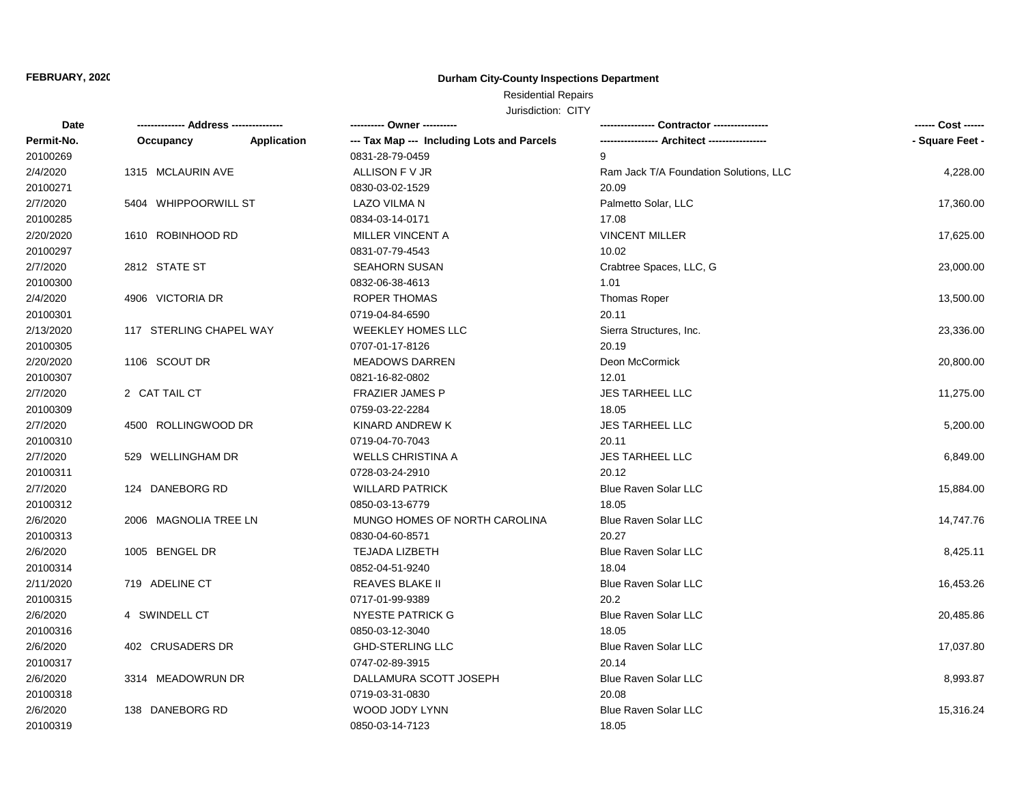# Residential Repairs

| <b>Date</b> |                         |             | --------- Owner ----------                 |                                        | ------ Cost ------ |
|-------------|-------------------------|-------------|--------------------------------------------|----------------------------------------|--------------------|
| Permit-No.  | Occupancy               | Application | --- Tax Map --- Including Lots and Parcels |                                        | - Square Feet -    |
| 20100269    |                         |             | 0831-28-79-0459                            | 9                                      |                    |
| 2/4/2020    | 1315 MCLAURIN AVE       |             | ALLISON F V JR                             | Ram Jack T/A Foundation Solutions, LLC | 4,228.00           |
| 20100271    |                         |             | 0830-03-02-1529                            | 20.09                                  |                    |
| 2/7/2020    | 5404 WHIPPOORWILL ST    |             | <b>LAZO VILMA N</b>                        | Palmetto Solar, LLC                    | 17,360.00          |
| 20100285    |                         |             | 0834-03-14-0171                            | 17.08                                  |                    |
| 2/20/2020   | 1610 ROBINHOOD RD       |             | MILLER VINCENT A                           | <b>VINCENT MILLER</b>                  | 17,625.00          |
| 20100297    |                         |             | 0831-07-79-4543                            | 10.02                                  |                    |
| 2/7/2020    | 2812 STATE ST           |             | <b>SEAHORN SUSAN</b>                       | Crabtree Spaces, LLC, G                | 23,000.00          |
| 20100300    |                         |             | 0832-06-38-4613                            | 1.01                                   |                    |
| 2/4/2020    | 4906 VICTORIA DR        |             | <b>ROPER THOMAS</b>                        | <b>Thomas Roper</b>                    | 13,500.00          |
| 20100301    |                         |             | 0719-04-84-6590                            | 20.11                                  |                    |
| 2/13/2020   | 117 STERLING CHAPEL WAY |             | <b>WEEKLEY HOMES LLC</b>                   | Sierra Structures, Inc.                | 23,336.00          |
| 20100305    |                         |             | 0707-01-17-8126                            | 20.19                                  |                    |
| 2/20/2020   | 1106 SCOUT DR           |             | <b>MEADOWS DARREN</b>                      | Deon McCormick                         | 20,800.00          |
| 20100307    |                         |             | 0821-16-82-0802                            | 12.01                                  |                    |
| 2/7/2020    | 2 CAT TAIL CT           |             | <b>FRAZIER JAMES P</b>                     | <b>JES TARHEEL LLC</b>                 | 11,275.00          |
| 20100309    |                         |             | 0759-03-22-2284                            | 18.05                                  |                    |
| 2/7/2020    | 4500 ROLLINGWOOD DR     |             | KINARD ANDREW K                            | JES TARHEEL LLC                        | 5,200.00           |
| 20100310    |                         |             | 0719-04-70-7043                            | 20.11                                  |                    |
| 2/7/2020    | 529 WELLINGHAM DR       |             | <b>WELLS CHRISTINA A</b>                   | JES TARHEEL LLC                        | 6,849.00           |
| 20100311    |                         |             | 0728-03-24-2910                            | 20.12                                  |                    |
| 2/7/2020    | 124 DANEBORG RD         |             | <b>WILLARD PATRICK</b>                     | <b>Blue Raven Solar LLC</b>            | 15,884.00          |
| 20100312    |                         |             | 0850-03-13-6779                            | 18.05                                  |                    |
| 2/6/2020    | 2006 MAGNOLIA TREE LN   |             | MUNGO HOMES OF NORTH CAROLINA              | <b>Blue Raven Solar LLC</b>            | 14,747.76          |
| 20100313    |                         |             | 0830-04-60-8571                            | 20.27                                  |                    |
| 2/6/2020    | 1005 BENGEL DR          |             | TEJADA LIZBETH                             | Blue Raven Solar LLC                   | 8,425.11           |
| 20100314    |                         |             | 0852-04-51-9240                            | 18.04                                  |                    |
| 2/11/2020   | 719 ADELINE CT          |             | <b>REAVES BLAKE II</b>                     | Blue Raven Solar LLC                   | 16,453.26          |
| 20100315    |                         |             | 0717-01-99-9389                            | 20.2                                   |                    |
| 2/6/2020    | 4 SWINDELL CT           |             | <b>NYESTE PATRICK G</b>                    | Blue Raven Solar LLC                   | 20,485.86          |
| 20100316    |                         |             | 0850-03-12-3040                            | 18.05                                  |                    |
| 2/6/2020    | 402 CRUSADERS DR        |             | <b>GHD-STERLING LLC</b>                    | <b>Blue Raven Solar LLC</b>            | 17,037.80          |
| 20100317    |                         |             | 0747-02-89-3915                            | 20.14                                  |                    |
| 2/6/2020    | 3314 MEADOWRUN DR       |             | DALLAMURA SCOTT JOSEPH                     | <b>Blue Raven Solar LLC</b>            | 8,993.87           |
| 20100318    |                         |             | 0719-03-31-0830                            | 20.08                                  |                    |
| 2/6/2020    | 138 DANEBORG RD         |             | WOOD JODY LYNN                             | <b>Blue Raven Solar LLC</b>            | 15,316.24          |
| 20100319    |                         |             | 0850-03-14-7123                            | 18.05                                  |                    |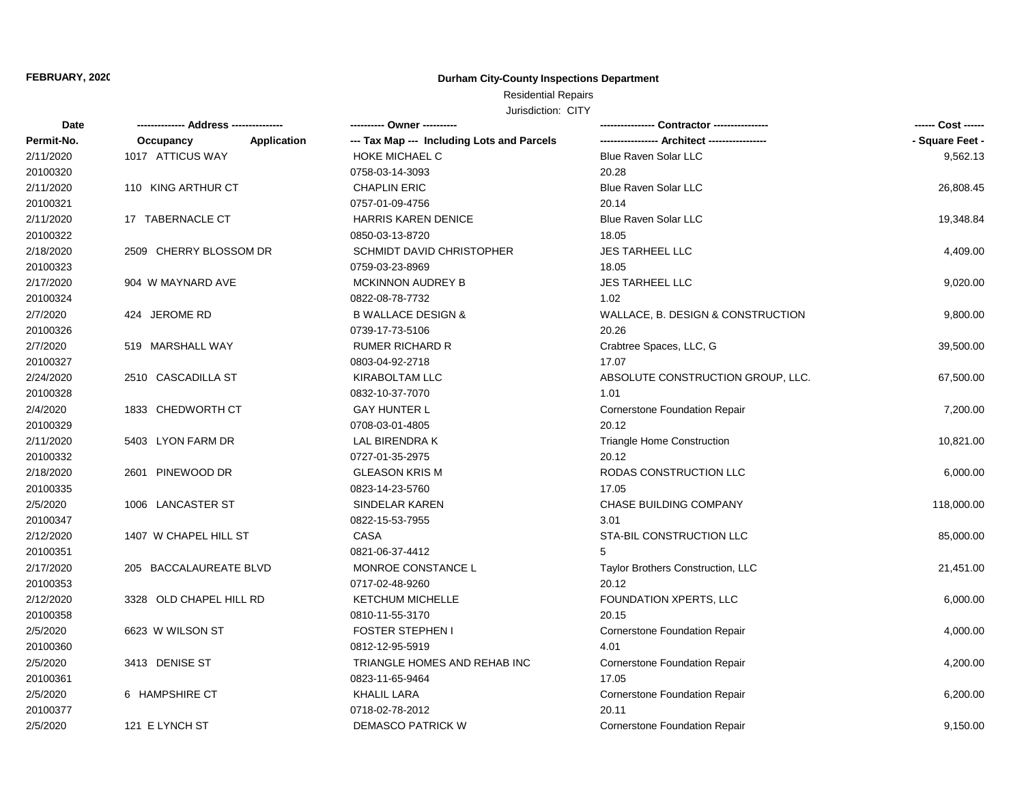# Residential Repairs

| Date       | -------------- Address --------------- |             | ---------- Owner ----------                |                                      |                 |
|------------|----------------------------------------|-------------|--------------------------------------------|--------------------------------------|-----------------|
| Permit-No. | Occupancy                              | Application | --- Tax Map --- Including Lots and Parcels |                                      | - Square Feet - |
| 2/11/2020  | 1017 ATTICUS WAY                       |             | <b>HOKE MICHAEL C</b>                      | <b>Blue Raven Solar LLC</b>          | 9,562.13        |
| 20100320   |                                        |             | 0758-03-14-3093                            | 20.28                                |                 |
| 2/11/2020  | 110 KING ARTHUR CT                     |             | <b>CHAPLIN ERIC</b>                        | <b>Blue Raven Solar LLC</b>          | 26,808.45       |
| 20100321   |                                        |             | 0757-01-09-4756                            | 20.14                                |                 |
| 2/11/2020  | 17 TABERNACLE CT                       |             | <b>HARRIS KAREN DENICE</b>                 | <b>Blue Raven Solar LLC</b>          | 19,348.84       |
| 20100322   |                                        |             | 0850-03-13-8720                            | 18.05                                |                 |
| 2/18/2020  | 2509 CHERRY BLOSSOM DR                 |             | <b>SCHMIDT DAVID CHRISTOPHER</b>           | <b>JES TARHEEL LLC</b>               | 4,409.00        |
| 20100323   |                                        |             | 0759-03-23-8969                            | 18.05                                |                 |
| 2/17/2020  | 904 W MAYNARD AVE                      |             | <b>MCKINNON AUDREY B</b>                   | <b>JES TARHEEL LLC</b>               | 9,020.00        |
| 20100324   |                                        |             | 0822-08-78-7732                            | 1.02                                 |                 |
| 2/7/2020   | 424 JEROME RD                          |             | <b>B WALLACE DESIGN &amp;</b>              | WALLACE, B. DESIGN & CONSTRUCTION    | 9,800.00        |
| 20100326   |                                        |             | 0739-17-73-5106                            | 20.26                                |                 |
| 2/7/2020   | 519 MARSHALL WAY                       |             | <b>RUMER RICHARD R</b>                     | Crabtree Spaces, LLC, G              | 39,500.00       |
| 20100327   |                                        |             | 0803-04-92-2718                            | 17.07                                |                 |
| 2/24/2020  | 2510 CASCADILLA ST                     |             | KIRABOLTAM LLC                             | ABSOLUTE CONSTRUCTION GROUP, LLC.    | 67,500.00       |
| 20100328   |                                        |             | 0832-10-37-7070                            | 1.01                                 |                 |
| 2/4/2020   | 1833 CHEDWORTH CT                      |             | <b>GAY HUNTER L</b>                        | <b>Cornerstone Foundation Repair</b> | 7,200.00        |
| 20100329   |                                        |             | 0708-03-01-4805                            | 20.12                                |                 |
| 2/11/2020  | 5403 LYON FARM DR                      |             | LAL BIRENDRA K                             | <b>Triangle Home Construction</b>    | 10,821.00       |
| 20100332   |                                        |             | 0727-01-35-2975                            | 20.12                                |                 |
| 2/18/2020  | 2601 PINEWOOD DR                       |             | <b>GLEASON KRIS M</b>                      | RODAS CONSTRUCTION LLC               | 6,000.00        |
| 20100335   |                                        |             | 0823-14-23-5760                            | 17.05                                |                 |
| 2/5/2020   | 1006 LANCASTER ST                      |             | SINDELAR KAREN                             | CHASE BUILDING COMPANY               | 118,000.00      |
| 20100347   |                                        |             | 0822-15-53-7955                            | 3.01                                 |                 |
| 2/12/2020  | 1407 W CHAPEL HILL ST                  |             | CASA                                       | STA-BIL CONSTRUCTION LLC             | 85,000.00       |
| 20100351   |                                        |             | 0821-06-37-4412                            | 5                                    |                 |
| 2/17/2020  | 205 BACCALAUREATE BLVD                 |             | MONROE CONSTANCE L                         | Taylor Brothers Construction, LLC    | 21,451.00       |
| 20100353   |                                        |             | 0717-02-48-9260                            | 20.12                                |                 |
| 2/12/2020  | 3328 OLD CHAPEL HILL RD                |             | <b>KETCHUM MICHELLE</b>                    | <b>FOUNDATION XPERTS, LLC</b>        | 6,000.00        |
| 20100358   |                                        |             | 0810-11-55-3170                            | 20.15                                |                 |
| 2/5/2020   | 6623 W WILSON ST                       |             | <b>FOSTER STEPHEN I</b>                    | <b>Cornerstone Foundation Repair</b> | 4,000.00        |
| 20100360   |                                        |             | 0812-12-95-5919                            | 4.01                                 |                 |
| 2/5/2020   | 3413 DENISE ST                         |             | TRIANGLE HOMES AND REHAB INC               | <b>Cornerstone Foundation Repair</b> | 4,200.00        |
| 20100361   |                                        |             | 0823-11-65-9464                            | 17.05                                |                 |
| 2/5/2020   | 6 HAMPSHIRE CT                         |             | <b>KHALIL LARA</b>                         | <b>Cornerstone Foundation Repair</b> | 6,200.00        |
| 20100377   |                                        |             | 0718-02-78-2012                            | 20.11                                |                 |
| 2/5/2020   | 121 E LYNCH ST                         |             | <b>DEMASCO PATRICK W</b>                   | <b>Cornerstone Foundation Repair</b> | 9,150.00        |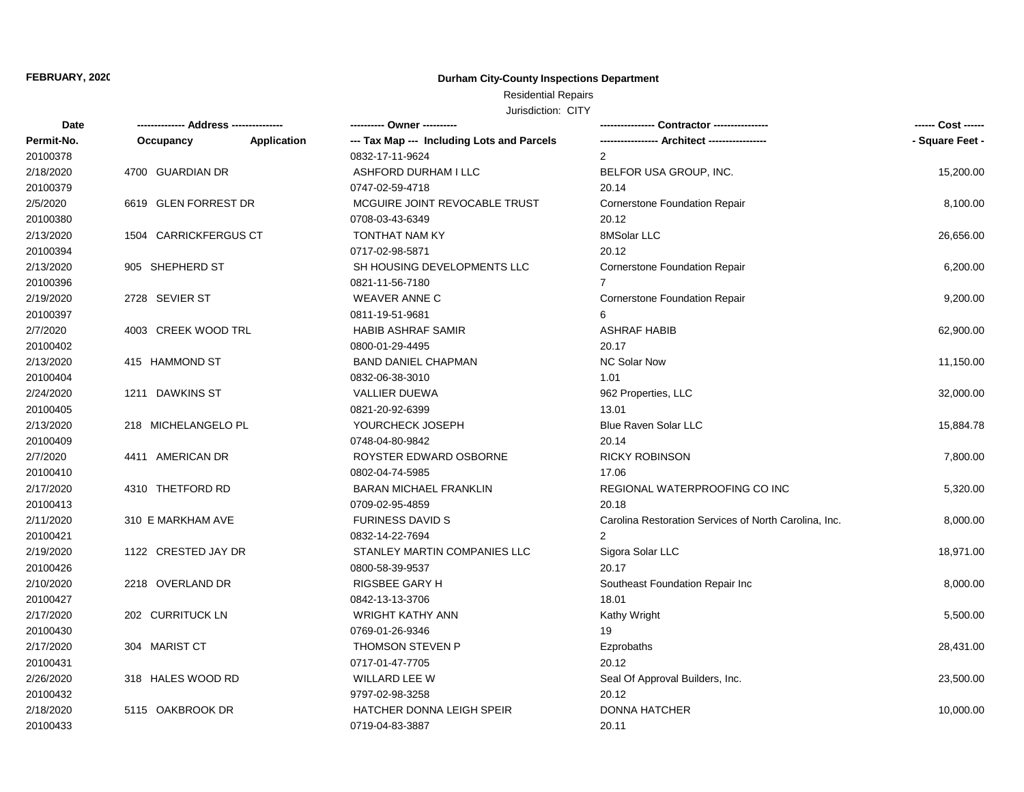# Residential Repairs

| <b>Date</b> |                       |             |                                            |                                                       | ------ Cost ------ |
|-------------|-----------------------|-------------|--------------------------------------------|-------------------------------------------------------|--------------------|
| Permit-No.  | Occupancy             | Application | --- Tax Map --- Including Lots and Parcels |                                                       | - Square Feet -    |
| 20100378    |                       |             | 0832-17-11-9624                            | $\overline{2}$                                        |                    |
| 2/18/2020   | 4700 GUARDIAN DR      |             | ASHFORD DURHAM I LLC                       | BELFOR USA GROUP, INC.                                | 15,200.00          |
| 20100379    |                       |             | 0747-02-59-4718                            | 20.14                                                 |                    |
| 2/5/2020    | 6619 GLEN FORREST DR  |             | MCGUIRE JOINT REVOCABLE TRUST              | <b>Cornerstone Foundation Repair</b>                  | 8,100.00           |
| 20100380    |                       |             | 0708-03-43-6349                            | 20.12                                                 |                    |
| 2/13/2020   | 1504 CARRICKFERGUS CT |             | TONTHAT NAM KY                             | 8MSolar LLC                                           | 26,656.00          |
| 20100394    |                       |             | 0717-02-98-5871                            | 20.12                                                 |                    |
| 2/13/2020   | 905 SHEPHERD ST       |             | SH HOUSING DEVELOPMENTS LLC                | <b>Cornerstone Foundation Repair</b>                  | 6,200.00           |
| 20100396    |                       |             | 0821-11-56-7180                            | $\overline{7}$                                        |                    |
| 2/19/2020   | 2728 SEVIER ST        |             | <b>WEAVER ANNE C</b>                       | <b>Cornerstone Foundation Repair</b>                  | 9,200.00           |
| 20100397    |                       |             | 0811-19-51-9681                            | 6                                                     |                    |
| 2/7/2020    | 4003 CREEK WOOD TRL   |             | <b>HABIB ASHRAF SAMIR</b>                  | <b>ASHRAF HABIB</b>                                   | 62,900.00          |
| 20100402    |                       |             | 0800-01-29-4495                            | 20.17                                                 |                    |
| 2/13/2020   | 415 HAMMOND ST        |             | <b>BAND DANIEL CHAPMAN</b>                 | <b>NC Solar Now</b>                                   | 11,150.00          |
| 20100404    |                       |             | 0832-06-38-3010                            | 1.01                                                  |                    |
| 2/24/2020   | 1211 DAWKINS ST       |             | <b>VALLIER DUEWA</b>                       | 962 Properties, LLC                                   | 32,000.00          |
| 20100405    |                       |             | 0821-20-92-6399                            | 13.01                                                 |                    |
| 2/13/2020   | 218 MICHELANGELO PL   |             | YOURCHECK JOSEPH                           | <b>Blue Raven Solar LLC</b>                           | 15,884.78          |
| 20100409    |                       |             | 0748-04-80-9842                            | 20.14                                                 |                    |
| 2/7/2020    | 4411 AMERICAN DR      |             | ROYSTER EDWARD OSBORNE                     | <b>RICKY ROBINSON</b>                                 | 7,800.00           |
| 20100410    |                       |             | 0802-04-74-5985                            | 17.06                                                 |                    |
| 2/17/2020   | 4310 THETFORD RD      |             | <b>BARAN MICHAEL FRANKLIN</b>              | REGIONAL WATERPROOFING CO INC                         | 5,320.00           |
| 20100413    |                       |             | 0709-02-95-4859                            | 20.18                                                 |                    |
| 2/11/2020   | 310 E MARKHAM AVE     |             | <b>FURINESS DAVID S</b>                    | Carolina Restoration Services of North Carolina, Inc. | 8,000.00           |
| 20100421    |                       |             | 0832-14-22-7694                            | $\mathcal{P}$                                         |                    |
| 2/19/2020   | 1122 CRESTED JAY DR   |             | STANLEY MARTIN COMPANIES LLC               | Sigora Solar LLC                                      | 18,971.00          |
| 20100426    |                       |             | 0800-58-39-9537                            | 20.17                                                 |                    |
| 2/10/2020   | 2218 OVERLAND DR      |             | RIGSBEE GARY H                             | Southeast Foundation Repair Inc                       | 8,000.00           |
| 20100427    |                       |             | 0842-13-13-3706                            | 18.01                                                 |                    |
| 2/17/2020   | 202 CURRITUCK LN      |             | <b>WRIGHT KATHY ANN</b>                    | Kathy Wright                                          | 5,500.00           |
| 20100430    |                       |             | 0769-01-26-9346                            | 19                                                    |                    |
| 2/17/2020   | 304 MARIST CT         |             | <b>THOMSON STEVEN P</b>                    | Ezprobaths                                            | 28,431.00          |
| 20100431    |                       |             | 0717-01-47-7705                            | 20.12                                                 |                    |
| 2/26/2020   | 318 HALES WOOD RD     |             | WILLARD LEE W                              | Seal Of Approval Builders, Inc.                       | 23,500.00          |
| 20100432    |                       |             | 9797-02-98-3258                            | 20.12                                                 |                    |
| 2/18/2020   | 5115 OAKBROOK DR      |             | HATCHER DONNA LEIGH SPEIR                  | <b>DONNA HATCHER</b>                                  | 10,000.00          |
| 20100433    |                       |             | 0719-04-83-3887                            | 20.11                                                 |                    |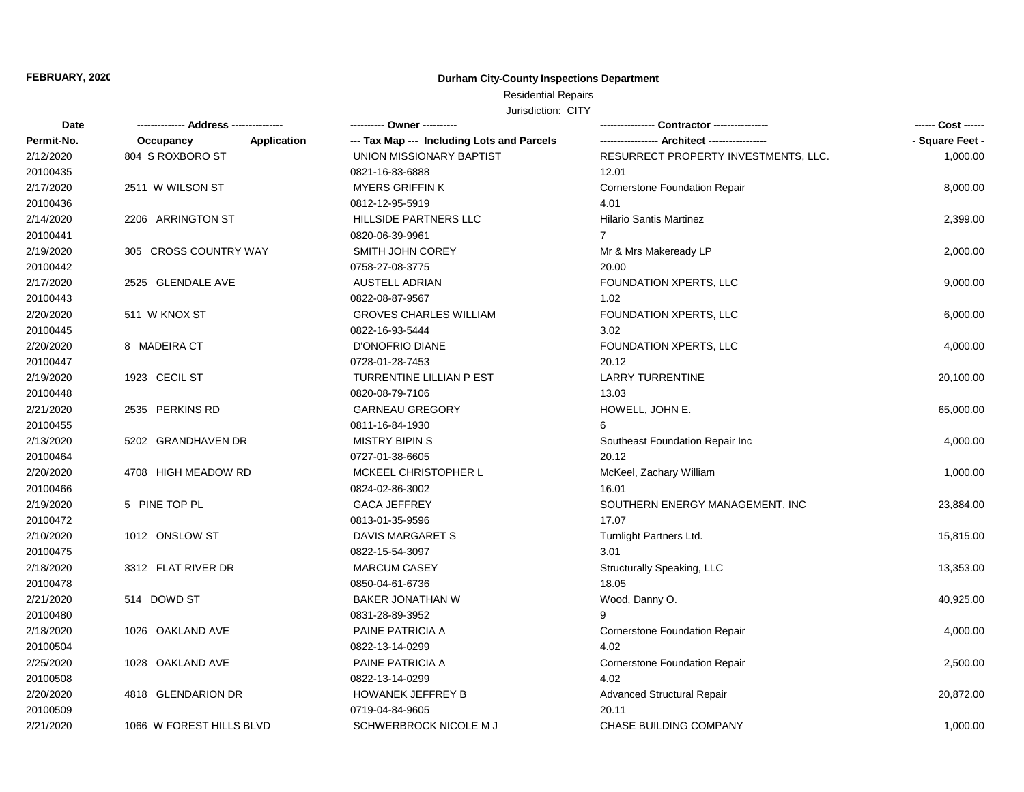# Residential Repairs

| Date       |                          |             | ---------- Owner ----------                | -- Contractor ---------------                 | ------ Cost ------ |
|------------|--------------------------|-------------|--------------------------------------------|-----------------------------------------------|--------------------|
| Permit-No. | Occupancy                | Application | --- Tax Map --- Including Lots and Parcels | ----------------- Architect ----------------- | - Square Feet -    |
| 2/12/2020  | 804 S ROXBORO ST         |             | UNION MISSIONARY BAPTIST                   | RESURRECT PROPERTY INVESTMENTS, LLC.          | 1,000.00           |
| 20100435   |                          |             | 0821-16-83-6888                            | 12.01                                         |                    |
| 2/17/2020  | 2511 W WILSON ST         |             | <b>MYERS GRIFFIN K</b>                     | <b>Cornerstone Foundation Repair</b>          | 8,000.00           |
| 20100436   |                          |             | 0812-12-95-5919                            | 4.01                                          |                    |
| 2/14/2020  | 2206 ARRINGTON ST        |             | HILLSIDE PARTNERS LLC                      | Hilario Santis Martinez                       | 2,399.00           |
| 20100441   |                          |             | 0820-06-39-9961                            | $\overline{7}$                                |                    |
| 2/19/2020  | 305 CROSS COUNTRY WAY    |             | SMITH JOHN COREY                           | Mr & Mrs Makeready LP                         | 2,000.00           |
| 20100442   |                          |             | 0758-27-08-3775                            | 20.00                                         |                    |
| 2/17/2020  | 2525 GLENDALE AVE        |             | <b>AUSTELL ADRIAN</b>                      | FOUNDATION XPERTS, LLC                        | 9,000.00           |
| 20100443   |                          |             | 0822-08-87-9567                            | 1.02                                          |                    |
| 2/20/2020  | 511 W KNOX ST            |             | <b>GROVES CHARLES WILLIAM</b>              | FOUNDATION XPERTS, LLC                        | 6,000.00           |
| 20100445   |                          |             | 0822-16-93-5444                            | 3.02                                          |                    |
| 2/20/2020  | 8 MADEIRA CT             |             | D'ONOFRIO DIANE                            | FOUNDATION XPERTS, LLC                        | 4,000.00           |
| 20100447   |                          |             | 0728-01-28-7453                            | 20.12                                         |                    |
| 2/19/2020  | 1923 CECIL ST            |             | TURRENTINE LILLIAN P EST                   | <b>LARRY TURRENTINE</b>                       | 20,100.00          |
| 20100448   |                          |             | 0820-08-79-7106                            | 13.03                                         |                    |
| 2/21/2020  | 2535 PERKINS RD          |             | <b>GARNEAU GREGORY</b>                     | HOWELL, JOHN E.                               | 65,000.00          |
| 20100455   |                          |             | 0811-16-84-1930                            | 6                                             |                    |
| 2/13/2020  | 5202 GRANDHAVEN DR       |             | <b>MISTRY BIPINS</b>                       | Southeast Foundation Repair Inc               | 4,000.00           |
| 20100464   |                          |             | 0727-01-38-6605                            | 20.12                                         |                    |
| 2/20/2020  | 4708 HIGH MEADOW RD      |             | MCKEEL CHRISTOPHER L                       | McKeel, Zachary William                       | 1,000.00           |
| 20100466   |                          |             | 0824-02-86-3002                            | 16.01                                         |                    |
| 2/19/2020  | 5 PINE TOP PL            |             | <b>GACA JEFFREY</b>                        | SOUTHERN ENERGY MANAGEMENT, INC               | 23,884.00          |
| 20100472   |                          |             | 0813-01-35-9596                            | 17.07                                         |                    |
| 2/10/2020  | 1012 ONSLOW ST           |             | DAVIS MARGARET S                           | Turnlight Partners Ltd.                       | 15,815.00          |
| 20100475   |                          |             | 0822-15-54-3097                            | 3.01                                          |                    |
| 2/18/2020  | 3312 FLAT RIVER DR       |             | <b>MARCUM CASEY</b>                        | Structurally Speaking, LLC                    | 13,353.00          |
| 20100478   |                          |             | 0850-04-61-6736                            | 18.05                                         |                    |
| 2/21/2020  | 514 DOWD ST              |             | <b>BAKER JONATHAN W</b>                    | Wood, Danny O.                                | 40,925.00          |
| 20100480   |                          |             | 0831-28-89-3952                            | 9                                             |                    |
| 2/18/2020  | 1026 OAKLAND AVE         |             | PAINE PATRICIA A                           | <b>Cornerstone Foundation Repair</b>          | 4,000.00           |
| 20100504   |                          |             | 0822-13-14-0299                            | 4.02                                          |                    |
| 2/25/2020  | 1028 OAKLAND AVE         |             | PAINE PATRICIA A                           | <b>Cornerstone Foundation Repair</b>          | 2,500.00           |
| 20100508   |                          |             | 0822-13-14-0299                            | 4.02                                          |                    |
| 2/20/2020  | 4818 GLENDARION DR       |             | HOWANEK JEFFREY B                          | <b>Advanced Structural Repair</b>             | 20,872.00          |
| 20100509   |                          |             | 0719-04-84-9605                            | 20.11                                         |                    |
| 2/21/2020  | 1066 W FOREST HILLS BLVD |             | SCHWERBROCK NICOLE M J                     | <b>CHASE BUILDING COMPANY</b>                 | 1,000.00           |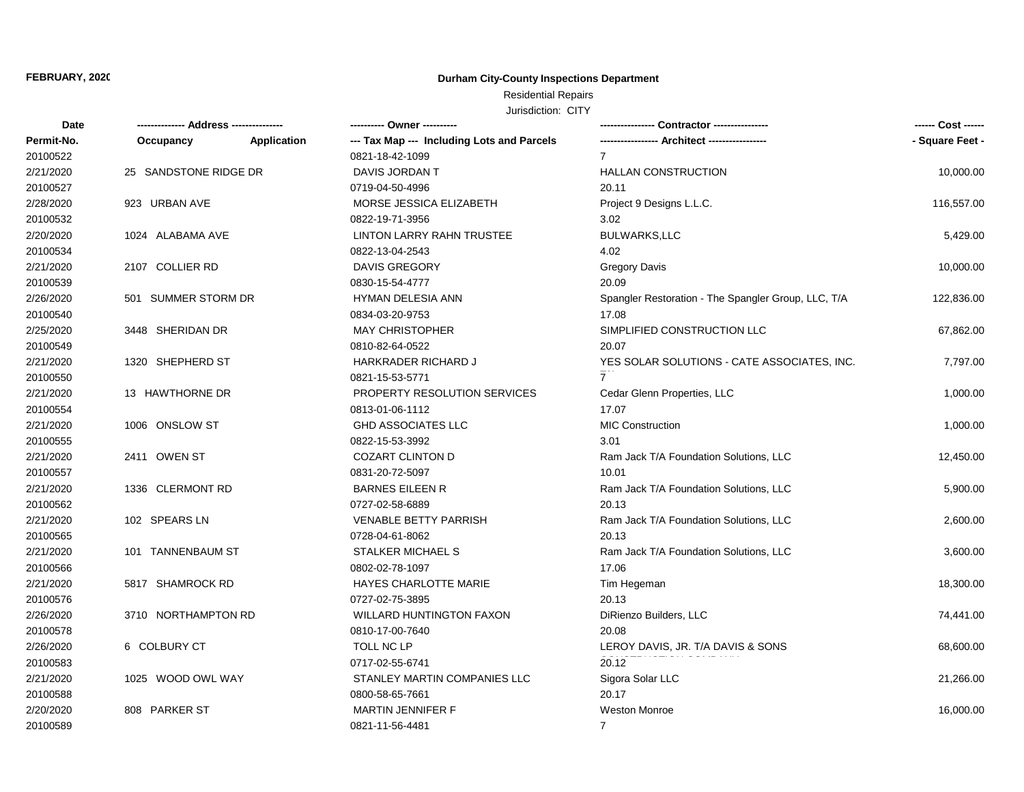# Residential Repairs

| Date       |                       |             | ---------- Owner ----------                |                                                     | ------ Cost ------ |
|------------|-----------------------|-------------|--------------------------------------------|-----------------------------------------------------|--------------------|
| Permit-No. | Occupancy             | Application | --- Tax Map --- Including Lots and Parcels |                                                     | - Square Feet -    |
| 20100522   |                       |             | 0821-18-42-1099                            | $\overline{7}$                                      |                    |
| 2/21/2020  | 25 SANDSTONE RIDGE DR |             | DAVIS JORDAN T                             | <b>HALLAN CONSTRUCTION</b>                          | 10,000.00          |
| 20100527   |                       |             | 0719-04-50-4996                            | 20.11                                               |                    |
| 2/28/2020  | 923 URBAN AVE         |             | MORSE JESSICA ELIZABETH                    | Project 9 Designs L.L.C.                            | 116,557.00         |
| 20100532   |                       |             | 0822-19-71-3956                            | 3.02                                                |                    |
| 2/20/2020  | 1024 ALABAMA AVE      |             | <b>LINTON LARRY RAHN TRUSTEE</b>           | <b>BULWARKS,LLC</b>                                 | 5,429.00           |
| 20100534   |                       |             | 0822-13-04-2543                            | 4.02                                                |                    |
| 2/21/2020  | 2107 COLLIER RD       |             | <b>DAVIS GREGORY</b>                       | <b>Gregory Davis</b>                                | 10,000.00          |
| 20100539   |                       |             | 0830-15-54-4777                            | 20.09                                               |                    |
| 2/26/2020  | 501 SUMMER STORM DR   |             | HYMAN DELESIA ANN                          | Spangler Restoration - The Spangler Group, LLC, T/A | 122,836.00         |
| 20100540   |                       |             | 0834-03-20-9753                            | 17.08                                               |                    |
| 2/25/2020  | 3448 SHERIDAN DR      |             | <b>MAY CHRISTOPHER</b>                     | SIMPLIFIED CONSTRUCTION LLC                         | 67,862.00          |
| 20100549   |                       |             | 0810-82-64-0522                            | 20.07                                               |                    |
| 2/21/2020  | 1320 SHEPHERD ST      |             | HARKRADER RICHARD J                        | YES SOLAR SOLUTIONS - CATE ASSOCIATES, INC.         | 7,797.00           |
| 20100550   |                       |             | 0821-15-53-5771                            |                                                     |                    |
| 2/21/2020  | 13 HAWTHORNE DR       |             | PROPERTY RESOLUTION SERVICES               | Cedar Glenn Properties, LLC                         | 1,000.00           |
| 20100554   |                       |             | 0813-01-06-1112                            | 17.07                                               |                    |
| 2/21/2020  | 1006 ONSLOW ST        |             | <b>GHD ASSOCIATES LLC</b>                  | MIC Construction                                    | 1,000.00           |
| 20100555   |                       |             | 0822-15-53-3992                            | 3.01                                                |                    |
| 2/21/2020  | 2411 OWEN ST          |             | <b>COZART CLINTON D</b>                    | Ram Jack T/A Foundation Solutions, LLC              | 12,450.00          |
| 20100557   |                       |             | 0831-20-72-5097                            | 10.01                                               |                    |
| 2/21/2020  | 1336 CLERMONT RD      |             | <b>BARNES EILEEN R</b>                     | Ram Jack T/A Foundation Solutions, LLC              | 5,900.00           |
| 20100562   |                       |             | 0727-02-58-6889                            | 20.13                                               |                    |
| 2/21/2020  | 102 SPEARS LN         |             | <b>VENABLE BETTY PARRISH</b>               | Ram Jack T/A Foundation Solutions, LLC              | 2,600.00           |
| 20100565   |                       |             | 0728-04-61-8062                            | 20.13                                               |                    |
| 2/21/2020  | 101 TANNENBAUM ST     |             | STALKER MICHAEL S                          | Ram Jack T/A Foundation Solutions, LLC              | 3,600.00           |
| 20100566   |                       |             | 0802-02-78-1097                            | 17.06                                               |                    |
| 2/21/2020  | 5817 SHAMROCK RD      |             | HAYES CHARLOTTE MARIE                      | Tim Hegeman                                         | 18,300.00          |
| 20100576   |                       |             | 0727-02-75-3895                            | 20.13                                               |                    |
| 2/26/2020  | 3710 NORTHAMPTON RD   |             | <b>WILLARD HUNTINGTON FAXON</b>            | DiRienzo Builders, LLC                              | 74,441.00          |
| 20100578   |                       |             | 0810-17-00-7640                            | 20.08                                               |                    |
| 2/26/2020  | 6 COLBURY CT          |             | TOLL NC LP                                 | LEROY DAVIS, JR. T/A DAVIS & SONS                   | 68,600.00          |
| 20100583   |                       |             | 0717-02-55-6741                            | 20.12                                               |                    |
| 2/21/2020  | 1025 WOOD OWL WAY     |             | STANLEY MARTIN COMPANIES LLC               | Sigora Solar LLC                                    | 21,266.00          |
| 20100588   |                       |             | 0800-58-65-7661                            | 20.17                                               |                    |
| 2/20/2020  | 808 PARKER ST         |             | <b>MARTIN JENNIFER F</b>                   | <b>Weston Monroe</b>                                | 16,000.00          |
| 20100589   |                       |             | 0821-11-56-4481                            | $7^{\circ}$                                         |                    |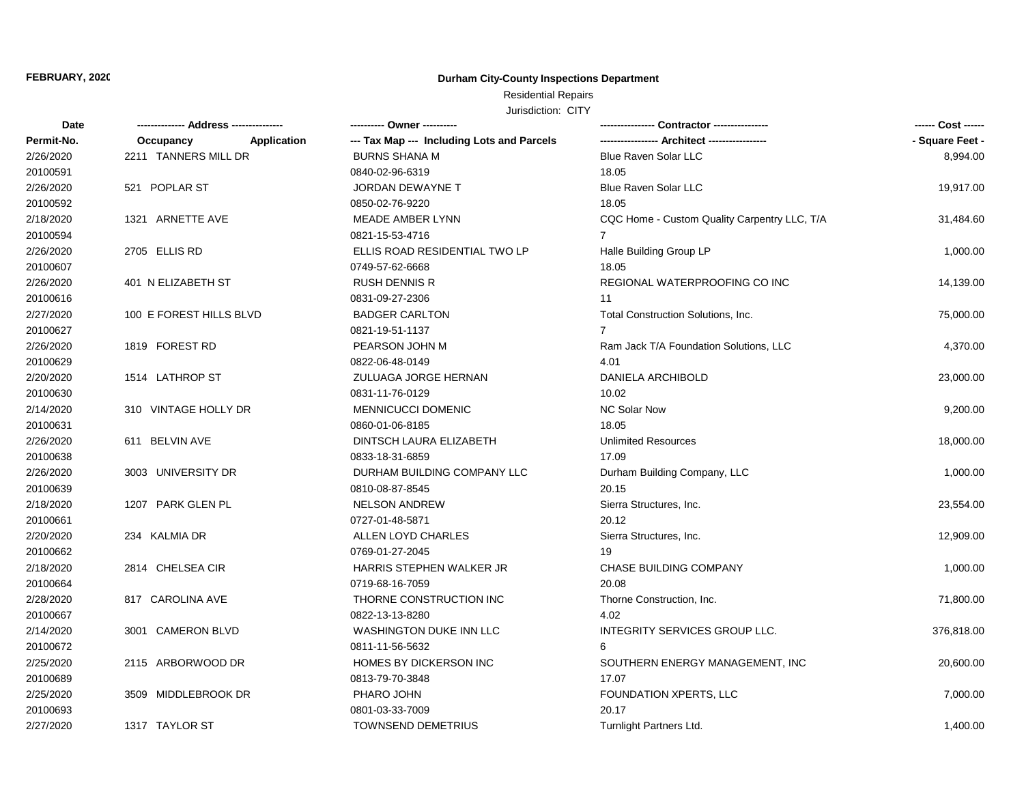# Residential Repairs

| Date       |                         |             | ---------- Owner ----------                |                                              | ------ Cost ------ |  |
|------------|-------------------------|-------------|--------------------------------------------|----------------------------------------------|--------------------|--|
| Permit-No. | Occupancy               | Application | --- Tax Map --- Including Lots and Parcels |                                              | - Square Feet -    |  |
| 2/26/2020  | 2211 TANNERS MILL DR    |             | <b>BURNS SHANA M</b>                       | <b>Blue Raven Solar LLC</b>                  | 8,994.00           |  |
| 20100591   |                         |             | 0840-02-96-6319                            | 18.05                                        |                    |  |
| 2/26/2020  | 521 POPLAR ST           |             | <b>JORDAN DEWAYNE T</b>                    | <b>Blue Raven Solar LLC</b>                  | 19,917.00          |  |
| 20100592   |                         |             | 0850-02-76-9220                            | 18.05                                        |                    |  |
| 2/18/2020  | 1321 ARNETTE AVE        |             | MEADE AMBER LYNN                           | CQC Home - Custom Quality Carpentry LLC, T/A | 31,484.60          |  |
| 20100594   |                         |             | 0821-15-53-4716                            | $\overline{7}$                               |                    |  |
| 2/26/2020  | 2705 ELLIS RD           |             | ELLIS ROAD RESIDENTIAL TWO LP              | Halle Building Group LP                      | 1,000.00           |  |
| 20100607   |                         |             | 0749-57-62-6668                            | 18.05                                        |                    |  |
| 2/26/2020  | 401 N ELIZABETH ST      |             | <b>RUSH DENNIS R</b>                       | REGIONAL WATERPROOFING CO INC                | 14,139.00          |  |
| 20100616   |                         |             | 0831-09-27-2306                            | 11                                           |                    |  |
| 2/27/2020  | 100 E FOREST HILLS BLVD |             | <b>BADGER CARLTON</b>                      | Total Construction Solutions, Inc.           | 75,000.00          |  |
| 20100627   |                         |             | 0821-19-51-1137                            | $\overline{7}$                               |                    |  |
| 2/26/2020  | 1819 FOREST RD          |             | PEARSON JOHN M                             | Ram Jack T/A Foundation Solutions, LLC       | 4,370.00           |  |
| 20100629   |                         |             | 0822-06-48-0149                            | 4.01                                         |                    |  |
| 2/20/2020  | 1514 LATHROP ST         |             | ZULUAGA JORGE HERNAN                       | DANIELA ARCHIBOLD                            | 23,000.00          |  |
| 20100630   |                         |             | 0831-11-76-0129                            | 10.02                                        |                    |  |
| 2/14/2020  | 310 VINTAGE HOLLY DR    |             | MENNICUCCI DOMENIC                         | <b>NC Solar Now</b>                          | 9,200.00           |  |
| 20100631   |                         |             | 0860-01-06-8185                            | 18.05                                        |                    |  |
| 2/26/2020  | 611 BELVIN AVE          |             | DINTSCH LAURA ELIZABETH                    | <b>Unlimited Resources</b>                   | 18,000.00          |  |
| 20100638   |                         |             | 0833-18-31-6859                            | 17.09                                        |                    |  |
| 2/26/2020  | 3003 UNIVERSITY DR      |             | DURHAM BUILDING COMPANY LLC                | Durham Building Company, LLC                 | 1,000.00           |  |
| 20100639   |                         |             | 0810-08-87-8545                            | 20.15                                        |                    |  |
| 2/18/2020  | 1207 PARK GLEN PL       |             | <b>NELSON ANDREW</b>                       | Sierra Structures, Inc.                      | 23,554.00          |  |
| 20100661   |                         |             | 0727-01-48-5871                            | 20.12                                        |                    |  |
| 2/20/2020  | 234 KALMIA DR           |             | ALLEN LOYD CHARLES                         | Sierra Structures, Inc.                      | 12,909.00          |  |
| 20100662   |                         |             | 0769-01-27-2045                            | 19                                           |                    |  |
| 2/18/2020  | 2814 CHELSEA CIR        |             | HARRIS STEPHEN WALKER JR                   | CHASE BUILDING COMPANY                       | 1,000.00           |  |
| 20100664   |                         |             | 0719-68-16-7059                            | 20.08                                        |                    |  |
| 2/28/2020  | 817 CAROLINA AVE        |             | THORNE CONSTRUCTION INC                    | Thorne Construction, Inc.                    | 71,800.00          |  |
| 20100667   |                         |             | 0822-13-13-8280                            | 4.02                                         |                    |  |
| 2/14/2020  | 3001 CAMERON BLVD       |             | <b>WASHINGTON DUKE INN LLC</b>             | INTEGRITY SERVICES GROUP LLC.                | 376,818.00         |  |
| 20100672   |                         |             | 0811-11-56-5632                            | 6                                            |                    |  |
| 2/25/2020  | 2115 ARBORWOOD DR       |             | <b>HOMES BY DICKERSON INC</b>              | SOUTHERN ENERGY MANAGEMENT, INC              | 20,600.00          |  |
| 20100689   |                         |             | 0813-79-70-3848                            | 17.07                                        |                    |  |
| 2/25/2020  | 3509 MIDDLEBROOK DR     |             | PHARO JOHN                                 | FOUNDATION XPERTS, LLC                       | 7,000.00           |  |
| 20100693   |                         |             | 0801-03-33-7009                            | 20.17                                        |                    |  |
| 2/27/2020  | 1317 TAYLOR ST          |             | <b>TOWNSEND DEMETRIUS</b>                  | Turnlight Partners Ltd.                      | 1,400.00           |  |